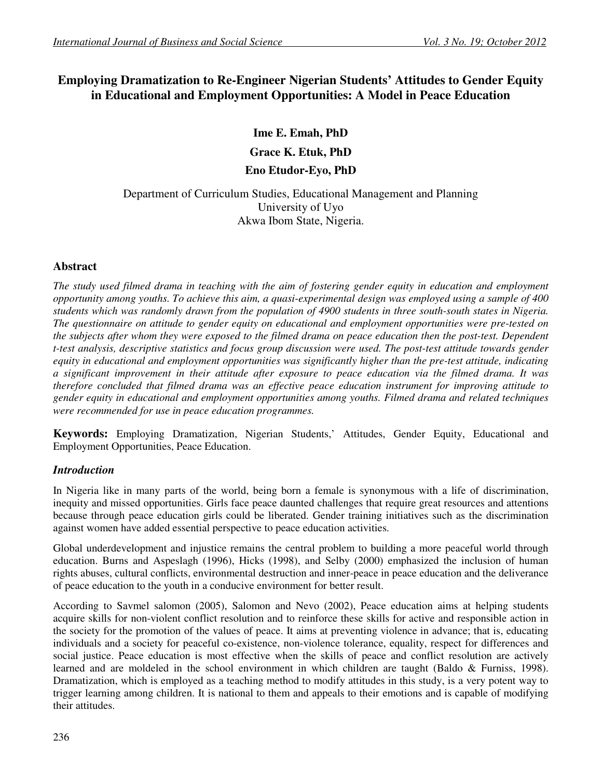# **Employing Dramatization to Re-Engineer Nigerian Students' Attitudes to Gender Equity in Educational and Employment Opportunities: A Model in Peace Education**

# **Ime E. Emah, PhD**

**Grace K. Etuk, PhD** 

## **Eno Etudor-Eyo, PhD**

# Department of Curriculum Studies, Educational Management and Planning University of Uyo Akwa Ibom State, Nigeria.

## **Abstract**

*The study used filmed drama in teaching with the aim of fostering gender equity in education and employment opportunity among youths. To achieve this aim, a quasi-experimental design was employed using a sample of 400 students which was randomly drawn from the population of 4900 students in three south-south states in Nigeria. The questionnaire on attitude to gender equity on educational and employment opportunities were pre-tested on the subjects after whom they were exposed to the filmed drama on peace education then the post-test. Dependent t-test analysis, descriptive statistics and focus group discussion were used. The post-test attitude towards gender equity in educational and employment opportunities was significantly higher than the pre-test attitude, indicating a significant improvement in their attitude after exposure to peace education via the filmed drama. It was therefore concluded that filmed drama was an effective peace education instrument for improving attitude to gender equity in educational and employment opportunities among youths. Filmed drama and related techniques were recommended for use in peace education programmes.* 

**Keywords:** Employing Dramatization, Nigerian Students,' Attitudes, Gender Equity, Educational and Employment Opportunities, Peace Education.

## *Introduction*

In Nigeria like in many parts of the world, being born a female is synonymous with a life of discrimination, inequity and missed opportunities. Girls face peace daunted challenges that require great resources and attentions because through peace education girls could be liberated. Gender training initiatives such as the discrimination against women have added essential perspective to peace education activities.

Global underdevelopment and injustice remains the central problem to building a more peaceful world through education. Burns and Aspeslagh (1996), Hicks (1998), and Selby (2000) emphasized the inclusion of human rights abuses, cultural conflicts, environmental destruction and inner-peace in peace education and the deliverance of peace education to the youth in a conducive environment for better result.

According to Savmel salomon (2005), Salomon and Nevo (2002), Peace education aims at helping students acquire skills for non-violent conflict resolution and to reinforce these skills for active and responsible action in the society for the promotion of the values of peace. It aims at preventing violence in advance; that is, educating individuals and a society for peaceful co-existence, non-violence tolerance, equality, respect for differences and social justice. Peace education is most effective when the skills of peace and conflict resolution are actively learned and are moldeled in the school environment in which children are taught (Baldo & Furniss, 1998). Dramatization, which is employed as a teaching method to modify attitudes in this study, is a very potent way to trigger learning among children. It is national to them and appeals to their emotions and is capable of modifying their attitudes.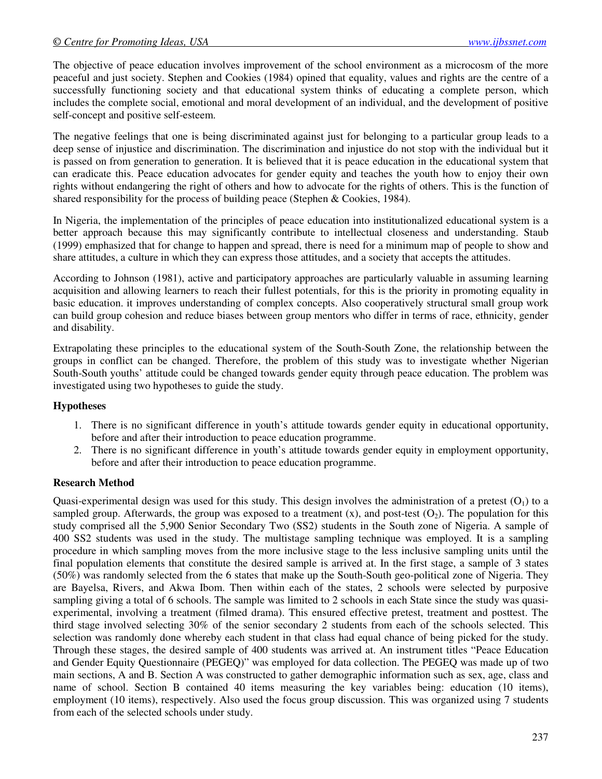The objective of peace education involves improvement of the school environment as a microcosm of the more peaceful and just society. Stephen and Cookies (1984) opined that equality, values and rights are the centre of a successfully functioning society and that educational system thinks of educating a complete person, which includes the complete social, emotional and moral development of an individual, and the development of positive self-concept and positive self-esteem.

The negative feelings that one is being discriminated against just for belonging to a particular group leads to a deep sense of injustice and discrimination. The discrimination and injustice do not stop with the individual but it is passed on from generation to generation. It is believed that it is peace education in the educational system that can eradicate this. Peace education advocates for gender equity and teaches the youth how to enjoy their own rights without endangering the right of others and how to advocate for the rights of others. This is the function of shared responsibility for the process of building peace (Stephen & Cookies, 1984).

In Nigeria, the implementation of the principles of peace education into institutionalized educational system is a better approach because this may significantly contribute to intellectual closeness and understanding. Staub (1999) emphasized that for change to happen and spread, there is need for a minimum map of people to show and share attitudes, a culture in which they can express those attitudes, and a society that accepts the attitudes.

According to Johnson (1981), active and participatory approaches are particularly valuable in assuming learning acquisition and allowing learners to reach their fullest potentials, for this is the priority in promoting equality in basic education. it improves understanding of complex concepts. Also cooperatively structural small group work can build group cohesion and reduce biases between group mentors who differ in terms of race, ethnicity, gender and disability.

Extrapolating these principles to the educational system of the South-South Zone, the relationship between the groups in conflict can be changed. Therefore, the problem of this study was to investigate whether Nigerian South-South youths' attitude could be changed towards gender equity through peace education. The problem was investigated using two hypotheses to guide the study.

### **Hypotheses**

- 1. There is no significant difference in youth's attitude towards gender equity in educational opportunity, before and after their introduction to peace education programme.
- 2. There is no significant difference in youth's attitude towards gender equity in employment opportunity, before and after their introduction to peace education programme.

#### **Research Method**

Quasi-experimental design was used for this study. This design involves the administration of a pretest  $(O_1)$  to a sampled group. Afterwards, the group was exposed to a treatment  $(x)$ , and post-test  $(O_2)$ . The population for this study comprised all the 5,900 Senior Secondary Two (SS2) students in the South zone of Nigeria. A sample of 400 SS2 students was used in the study. The multistage sampling technique was employed. It is a sampling procedure in which sampling moves from the more inclusive stage to the less inclusive sampling units until the final population elements that constitute the desired sample is arrived at. In the first stage, a sample of 3 states (50%) was randomly selected from the 6 states that make up the South-South geo-political zone of Nigeria. They are Bayelsa, Rivers, and Akwa Ibom. Then within each of the states, 2 schools were selected by purposive sampling giving a total of 6 schools. The sample was limited to 2 schools in each State since the study was quasiexperimental, involving a treatment (filmed drama). This ensured effective pretest, treatment and posttest. The third stage involved selecting 30% of the senior secondary 2 students from each of the schools selected. This selection was randomly done whereby each student in that class had equal chance of being picked for the study. Through these stages, the desired sample of 400 students was arrived at. An instrument titles "Peace Education and Gender Equity Questionnaire (PEGEQ)" was employed for data collection. The PEGEQ was made up of two main sections, A and B. Section A was constructed to gather demographic information such as sex, age, class and name of school. Section B contained 40 items measuring the key variables being: education (10 items), employment (10 items), respectively. Also used the focus group discussion. This was organized using 7 students from each of the selected schools under study.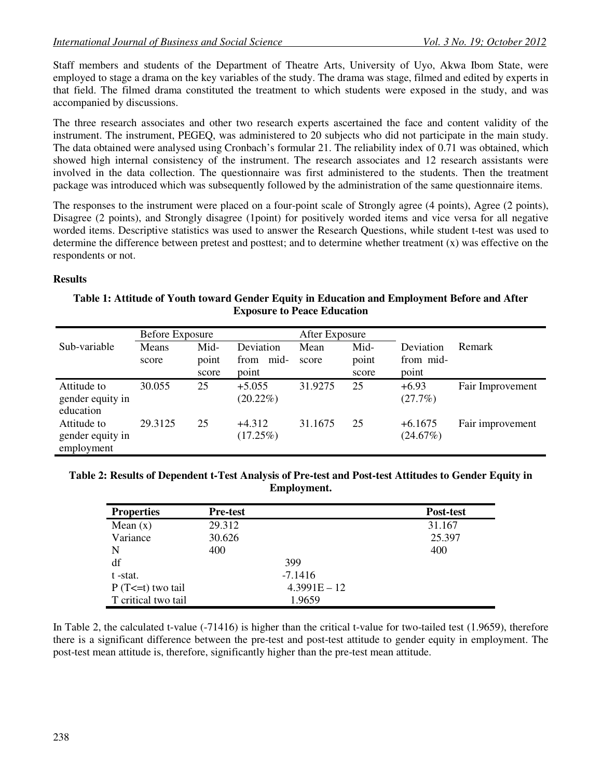Staff members and students of the Department of Theatre Arts, University of Uyo, Akwa Ibom State, were employed to stage a drama on the key variables of the study. The drama was stage, filmed and edited by experts in that field. The filmed drama constituted the treatment to which students were exposed in the study, and was accompanied by discussions.

The three research associates and other two research experts ascertained the face and content validity of the instrument. The instrument, PEGEQ, was administered to 20 subjects who did not participate in the main study. The data obtained were analysed using Cronbach's formular 21. The reliability index of 0.71 was obtained, which showed high internal consistency of the instrument. The research associates and 12 research assistants were involved in the data collection. The questionnaire was first administered to the students. Then the treatment package was introduced which was subsequently followed by the administration of the same questionnaire items.

The responses to the instrument were placed on a four-point scale of Strongly agree (4 points), Agree (2 points), Disagree (2 points), and Strongly disagree (1point) for positively worded items and vice versa for all negative worded items. Descriptive statistics was used to answer the Research Questions, while student t-test was used to determine the difference between pretest and posttest; and to determine whether treatment (x) was effective on the respondents or not.

#### **Results**

#### **Table 1: Attitude of Youth toward Gender Equity in Education and Employment Before and After Exposure to Peace Education**

| Sub-variable                                  | Before Exposure<br>Means<br>score | Mid-<br>point<br>score | Deviation<br>mid-<br>from<br>point | After Exposure<br>Mean<br>score | Mid-<br>point<br>score | Deviation<br>from mid-<br>point | Remark           |
|-----------------------------------------------|-----------------------------------|------------------------|------------------------------------|---------------------------------|------------------------|---------------------------------|------------------|
| Attitude to<br>gender equity in<br>education  | 30.055                            | 25                     | $+5.055$<br>$(20.22\%)$            | 31.9275                         | 25                     | $+6.93$<br>(27.7%)              | Fair Improvement |
| Attitude to<br>gender equity in<br>employment | 29.3125                           | 25                     | $+4.312$<br>(17.25%)               | 31.1675                         | 25                     | $+6.1675$<br>(24.67%)           | Fair improvement |

#### **Table 2: Results of Dependent t-Test Analysis of Pre-test and Post-test Attitudes to Gender Equity in Employment.**

| <b>Properties</b>     | <b>Pre-test</b> | Post-test      |
|-----------------------|-----------------|----------------|
| Mean $(x)$            | 29.312          | 31.167         |
| Variance              | 30.626          | 25.397         |
| N                     | 400             | 400            |
| df                    | 399             |                |
| t -stat.              | $-7.1416$       |                |
| $P(T \le t)$ two tail |                 | $4.3991E - 12$ |
| T critical two tail   | 1.9659          |                |

In Table 2, the calculated t-value (-71416) is higher than the critical t-value for two-tailed test (1.9659), therefore there is a significant difference between the pre-test and post-test attitude to gender equity in employment. The post-test mean attitude is, therefore, significantly higher than the pre-test mean attitude.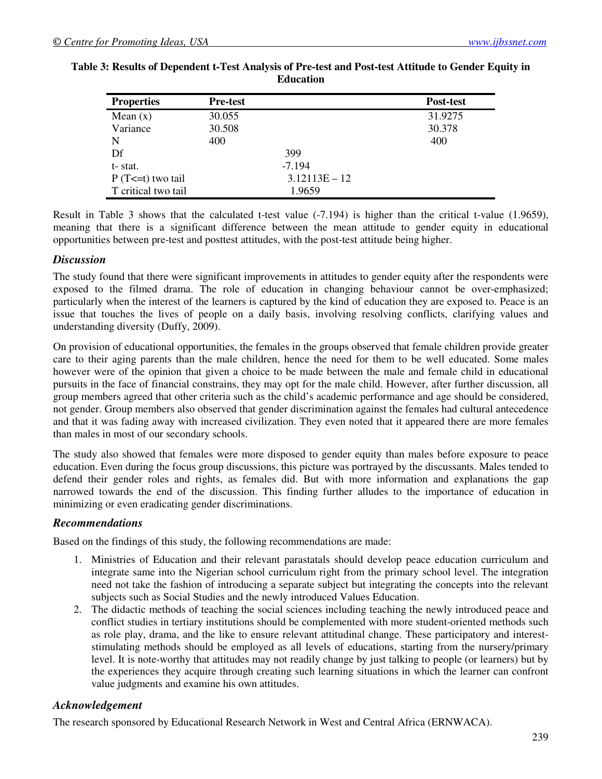| <b>Properties</b>     | <b>Pre-test</b> |                 | Post-test |
|-----------------------|-----------------|-----------------|-----------|
| Mean $(x)$            | 30.055          |                 | 31.9275   |
| Variance              | 30.508          |                 | 30.378    |
| N                     | 400             |                 | 400       |
| Df                    |                 | 399             |           |
| t-stat.               |                 | $-7.194$        |           |
| $P(T \le t)$ two tail |                 | $3.12113E - 12$ |           |
| T critical two tail   |                 | 1.9659          |           |

#### **Table 3: Results of Dependent t-Test Analysis of Pre-test and Post-test Attitude to Gender Equity in Education**

Result in Table 3 shows that the calculated t-test value (-7.194) is higher than the critical t-value (1.9659), meaning that there is a significant difference between the mean attitude to gender equity in educational opportunities between pre-test and posttest attitudes, with the post-test attitude being higher.

### *Discussion*

The study found that there were significant improvements in attitudes to gender equity after the respondents were exposed to the filmed drama. The role of education in changing behaviour cannot be over-emphasized; particularly when the interest of the learners is captured by the kind of education they are exposed to. Peace is an issue that touches the lives of people on a daily basis, involving resolving conflicts, clarifying values and understanding diversity (Duffy, 2009).

On provision of educational opportunities, the females in the groups observed that female children provide greater care to their aging parents than the male children, hence the need for them to be well educated. Some males however were of the opinion that given a choice to be made between the male and female child in educational pursuits in the face of financial constrains, they may opt for the male child. However, after further discussion, all group members agreed that other criteria such as the child's academic performance and age should be considered, not gender. Group members also observed that gender discrimination against the females had cultural antecedence and that it was fading away with increased civilization. They even noted that it appeared there are more females than males in most of our secondary schools.

The study also showed that females were more disposed to gender equity than males before exposure to peace education. Even during the focus group discussions, this picture was portrayed by the discussants. Males tended to defend their gender roles and rights, as females did. But with more information and explanations the gap narrowed towards the end of the discussion. This finding further alludes to the importance of education in minimizing or even eradicating gender discriminations.

## *Recommendations*

Based on the findings of this study, the following recommendations are made:

- 1. Ministries of Education and their relevant parastatals should develop peace education curriculum and integrate same into the Nigerian school curriculum right from the primary school level. The integration need not take the fashion of introducing a separate subject but integrating the concepts into the relevant subjects such as Social Studies and the newly introduced Values Education.
- 2. The didactic methods of teaching the social sciences including teaching the newly introduced peace and conflict studies in tertiary institutions should be complemented with more student-oriented methods such as role play, drama, and the like to ensure relevant attitudinal change. These participatory and intereststimulating methods should be employed as all levels of educations, starting from the nursery/primary level. It is note-worthy that attitudes may not readily change by just talking to people (or learners) but by the experiences they acquire through creating such learning situations in which the learner can confront value judgments and examine his own attitudes.

### *Acknowledgement*

The research sponsored by Educational Research Network in West and Central Africa (ERNWACA).